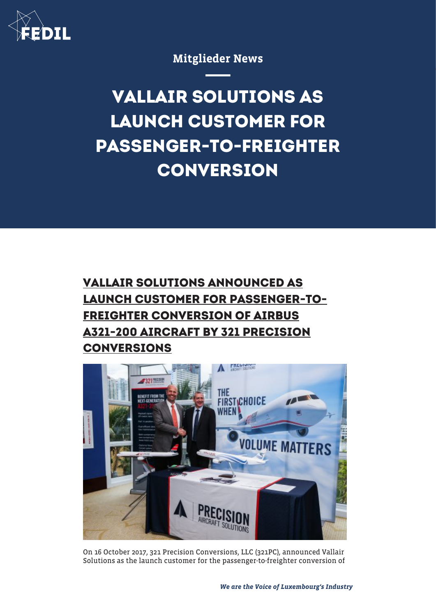

## Mitglieder News

**VALLAIR SOLUTIONS AS LAUNCH CUSTOMER FOR PASSENGER-TO-FREIGHTER CONVERSION**

## **VALLAIR SOLUTIONS ANNOUNCED AS LAUNCH CUSTOMER FOR PASSENGER-TO-FREIGHTER CONVERSION OF AIRBUS A321-200 AIRCRAFT BY 321 PRECISION CONVERSIONS**



On 16 October 2017, 321 Precision Conversions, LLC (321PC), announced Vallair Solutions as the launch customer for the passenger-to-freighter conversion of